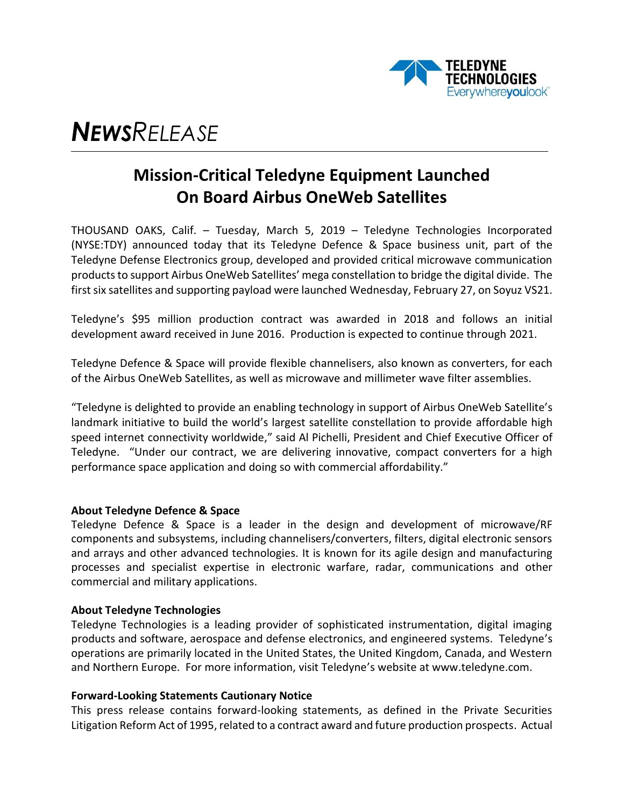

# *NEWSRELEASE*

## **Mission-Critical Teledyne Equipment Launched On Board Airbus OneWeb Satellites**

THOUSAND OAKS, Calif. – Tuesday, March 5, 2019 – Teledyne Technologies Incorporated (NYSE:TDY) announced today that its Teledyne Defence & Space business unit, part of the [Teledyne Defense Electronics g](http://www.teledynemicrowave.com/index.php)roup, developed and provided critical microwave communication productsto support Airbus OneWeb Satellites' mega constellation to bridge the digital divide. The first six satellites and supporting payload were launched Wednesday, February 27, on Soyuz VS21.

Teledyne's \$95 million production contract was awarded in 2018 and follows an initial development award received in June 2016. Production is expected to continue through 2021.

Teledyne Defence & Space will provide flexible channelisers, also known as converters, for each of the Airbus OneWeb Satellites, as well as microwave and millimeter wave filter assemblies.

"Teledyne is delighted to provide an enabling technology in support of Airbus OneWeb Satellite's landmark initiative to build the world's largest satellite constellation to provide affordable high speed internet connectivity worldwide," said Al Pichelli, President and Chief Executive Officer of Teledyne. "Under our contract, we are delivering innovative, compact converters for a high performance space application and doing so with commercial affordability."

#### **About Teledyne Defence & Space**

Teledyne Defence & Space is a leader in the design and development of microwave/RF components and subsystems, including channelisers/converters, filters, digital electronic sensors and arrays and other advanced technologies. It is known for its agile design and manufacturing processes and specialist expertise in electronic warfare, radar, communications and other commercial and military applications.

#### **About Teledyne Technologies**

Teledyne Technologies is a leading provider of sophisticated instrumentation, digital imaging products and software, aerospace and defense electronics, and engineered systems. Teledyne's operations are primarily located in the United States, the United Kingdom, Canada, and Western and Northern Europe. For more information, visit Teledyne's website at www.teledyne.com.

### **Forward-Looking Statements Cautionary Notice**

This press release contains forward-looking statements, as defined in the Private Securities Litigation Reform Act of 1995, related to a contract award and future production prospects. Actual